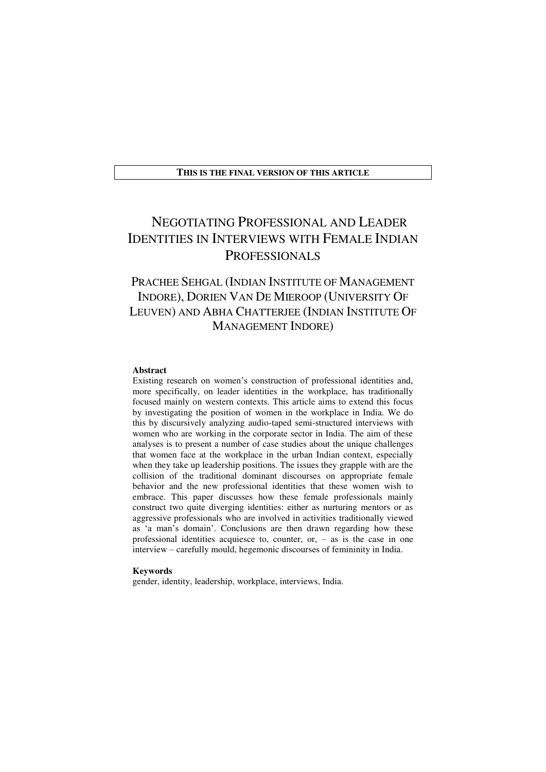#### **THIS IS THE FINAL VERSION OF THIS ARTICLE**

# NEGOTIATING PROFESSIONAL AND LEADER IDENTITIES IN INTERVIEWS WITH FEMALE INDIAN PROFESSIONALS

# PRACHEE SEHGAL (INDIAN INSTITUTE OF MANAGEMENT INDORE), DORIEN VAN DE MIEROOP (UNIVERSITY OF LEUVEN) AND ABHA CHATTERJEE (INDIAN INSTITUTE OF MANAGEMENT INDORE)

#### **Abstract**

Existing research on women's construction of professional identities and, more specifically, on leader identities in the workplace, has traditionally focused mainly on western contexts. This article aims to extend this focus by investigating the position of women in the workplace in India. We do this by discursively analyzing audio-taped semi-structured interviews with women who are working in the corporate sector in India. The aim of these analyses is to present a number of case studies about the unique challenges that women face at the workplace in the urban Indian context, especially when they take up leadership positions. The issues they grapple with are the collision of the traditional dominant discourses on appropriate female behavior and the new professional identities that these women wish to embrace. This paper discusses how these female professionals mainly construct two quite diverging identities: either as nurturing mentors or as aggressive professionals who are involved in activities traditionally viewed as 'a man's domain'. Conclusions are then drawn regarding how these professional identities acquiesce to, counter,  $or - as$  is the case in one interview – carefully mould, hegemonic discourses of femininity in India.

#### **Keywords**

gender, identity, leadership, workplace, interviews, India.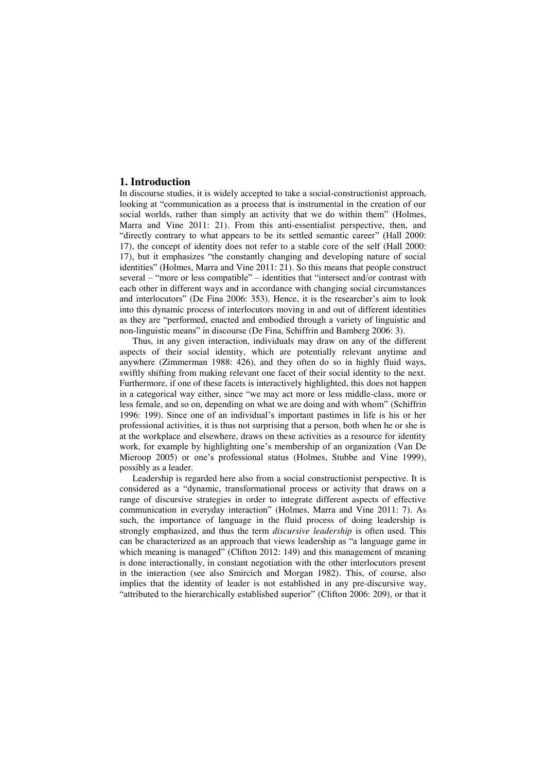## **1. Introduction**

In discourse studies, it is widely accepted to take a social-constructionist approach, looking at "communication as a process that is instrumental in the creation of our social worlds, rather than simply an activity that we do within them" (Holmes, Marra and Vine 2011: 21). From this anti-essentialist perspective, then, and "directly contrary to what appears to be its settled semantic career" (Hall 2000: 17), the concept of identity does not refer to a stable core of the self (Hall 2000: 17), but it emphasizes "the constantly changing and developing nature of social identities" (Holmes, Marra and Vine 2011: 21). So this means that people construct several – "more or less compatible" – identities that "intersect and/or contrast with each other in different ways and in accordance with changing social circumstances and interlocutors" (De Fina 2006: 353). Hence, it is the researcher's aim to look into this dynamic process of interlocutors moving in and out of different identities as they are "performed, enacted and embodied through a variety of linguistic and non-linguistic means" in discourse (De Fina, Schiffrin and Bamberg 2006: 3).

Thus, in any given interaction, individuals may draw on any of the different aspects of their social identity, which are potentially relevant anytime and anywhere (Zimmerman 1988: 426), and they often do so in highly fluid ways, swiftly shifting from making relevant one facet of their social identity to the next. Furthermore, if one of these facets is interactively highlighted, this does not happen in a categorical way either, since "we may act more or less middle-class, more or less female, and so on, depending on what we are doing and with whom" (Schiffrin 1996: 199). Since one of an individual's important pastimes in life is his or her professional activities, it is thus not surprising that a person, both when he or she is at the workplace and elsewhere, draws on these activities as a resource for identity work, for example by highlighting one's membership of an organization (Van De Mieroop 2005) or one's professional status (Holmes, Stubbe and Vine 1999), possibly as a leader.

Leadership is regarded here also from a social constructionist perspective. It is considered as a "dynamic, transformational process or activity that draws on a range of discursive strategies in order to integrate different aspects of effective communication in everyday interaction" (Holmes, Marra and Vine 2011: 7). As such, the importance of language in the fluid process of doing leadership is strongly emphasized, and thus the term *discursive leadership* is often used. This can be characterized as an approach that views leadership as "a language game in which meaning is managed" (Clifton 2012: 149) and this management of meaning is done interactionally, in constant negotiation with the other interlocutors present in the interaction (see also Smircich and Morgan 1982). This, of course, also implies that the identity of leader is not established in any pre-discursive way, "attributed to the hierarchically established superior" (Clifton 2006: 209), or that it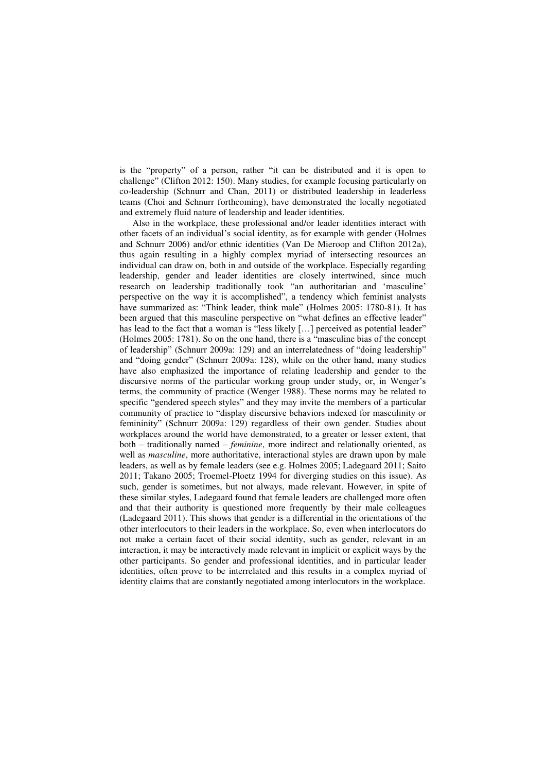is the "property" of a person, rather "it can be distributed and it is open to challenge" (Clifton 2012: 150). Many studies, for example focusing particularly on co-leadership (Schnurr and Chan, 2011) or distributed leadership in leaderless teams (Choi and Schnurr forthcoming), have demonstrated the locally negotiated and extremely fluid nature of leadership and leader identities.

Also in the workplace, these professional and/or leader identities interact with other facets of an individual's social identity, as for example with gender (Holmes and Schnurr 2006) and/or ethnic identities (Van De Mieroop and Clifton 2012a), thus again resulting in a highly complex myriad of intersecting resources an individual can draw on, both in and outside of the workplace. Especially regarding leadership, gender and leader identities are closely intertwined, since much research on leadership traditionally took "an authoritarian and 'masculine' perspective on the way it is accomplished", a tendency which feminist analysts have summarized as: "Think leader, think male" (Holmes 2005: 1780-81). It has been argued that this masculine perspective on "what defines an effective leader" has lead to the fact that a woman is "less likely [...] perceived as potential leader" (Holmes 2005: 1781). So on the one hand, there is a "masculine bias of the concept of leadership" (Schnurr 2009a: 129) and an interrelatedness of "doing leadership" and "doing gender" (Schnurr 2009a: 128), while on the other hand, many studies have also emphasized the importance of relating leadership and gender to the discursive norms of the particular working group under study, or, in Wenger's terms, the community of practice (Wenger 1988). These norms may be related to specific "gendered speech styles" and they may invite the members of a particular community of practice to "display discursive behaviors indexed for masculinity or femininity" (Schnurr 2009a: 129) regardless of their own gender. Studies about workplaces around the world have demonstrated, to a greater or lesser extent, that both – traditionally named – *feminine*, more indirect and relationally oriented, as well as *masculine*, more authoritative, interactional styles are drawn upon by male leaders, as well as by female leaders (see e.g. Holmes 2005; Ladegaard 2011; Saito 2011; Takano 2005; Troemel-Ploetz 1994 for diverging studies on this issue). As such, gender is sometimes, but not always, made relevant. However, in spite of these similar styles, Ladegaard found that female leaders are challenged more often and that their authority is questioned more frequently by their male colleagues (Ladegaard 2011). This shows that gender is a differential in the orientations of the other interlocutors to their leaders in the workplace. So, even when interlocutors do not make a certain facet of their social identity, such as gender, relevant in an interaction, it may be interactively made relevant in implicit or explicit ways by the other participants. So gender and professional identities, and in particular leader identities, often prove to be interrelated and this results in a complex myriad of identity claims that are constantly negotiated among interlocutors in the workplace.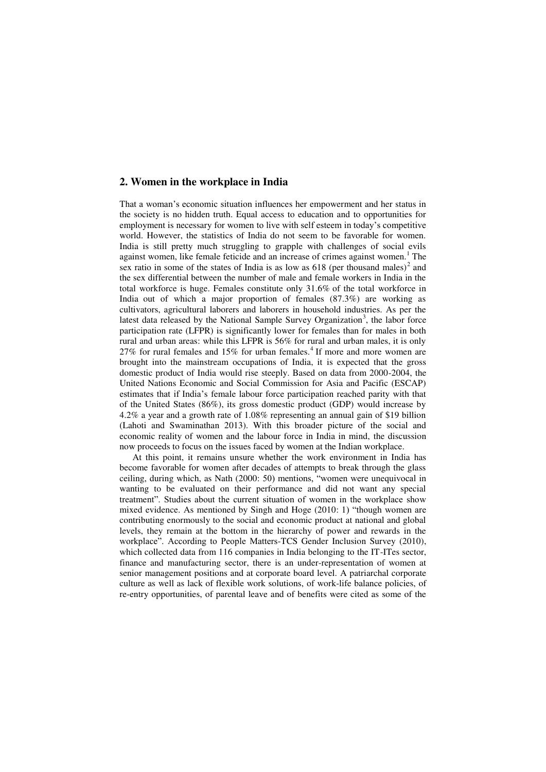# **2. Women in the workplace in India**

That a woman's economic situation influences her empowerment and her status in the society is no hidden truth. Equal access to education and to opportunities for employment is necessary for women to live with self esteem in today's competitive world. However, the statistics of India do not seem to be favorable for women. India is still pretty much struggling to grapple with challenges of social evils against women, like female feticide and an increase of crimes against women.<sup>1</sup> The sex ratio in some of the states of India is as low as 618 (per thousand males)<sup>2</sup> and the sex differential between the number of male and female workers in India in the total workforce is huge. Females constitute only 31.6% of the total workforce in India out of which a major proportion of females (87.3%) are working as cultivators, agricultural laborers and laborers in household industries. As per the latest data released by the National Sample Survey Organization<sup>3</sup>, the labor force participation rate (LFPR) is significantly lower for females than for males in both rural and urban areas: while this LFPR is 56% for rural and urban males, it is only  $27\%$  for rural females and  $15\%$  for urban females.<sup>4</sup> If more and more women are brought into the mainstream occupations of India, it is expected that the gross domestic product of India would rise steeply. Based on data from 2000-2004, the United Nations Economic and Social Commission for Asia and Pacific (ESCAP) estimates that if India's female labour force participation reached parity with that of the United States (86%), its gross domestic product (GDP) would increase by 4.2% a year and a growth rate of 1.08% representing an annual gain of \$19 billion (Lahoti and Swaminathan 2013). With this broader picture of the social and economic reality of women and the labour force in India in mind, the discussion now proceeds to focus on the issues faced by women at the Indian workplace.

At this point, it remains unsure whether the work environment in India has become favorable for women after decades of attempts to break through the glass ceiling, during which, as Nath (2000: 50) mentions, "women were unequivocal in wanting to be evaluated on their performance and did not want any special treatment". Studies about the current situation of women in the workplace show mixed evidence. As mentioned by Singh and Hoge (2010: 1) "though women are contributing enormously to the social and economic product at national and global levels, they remain at the bottom in the hierarchy of power and rewards in the workplace". According to People Matters-TCS Gender Inclusion Survey (2010), which collected data from 116 companies in India belonging to the IT-ITes sector, finance and manufacturing sector, there is an under-representation of women at senior management positions and at corporate board level. A patriarchal corporate culture as well as lack of flexible work solutions, of work-life balance policies, of re-entry opportunities, of parental leave and of benefits were cited as some of the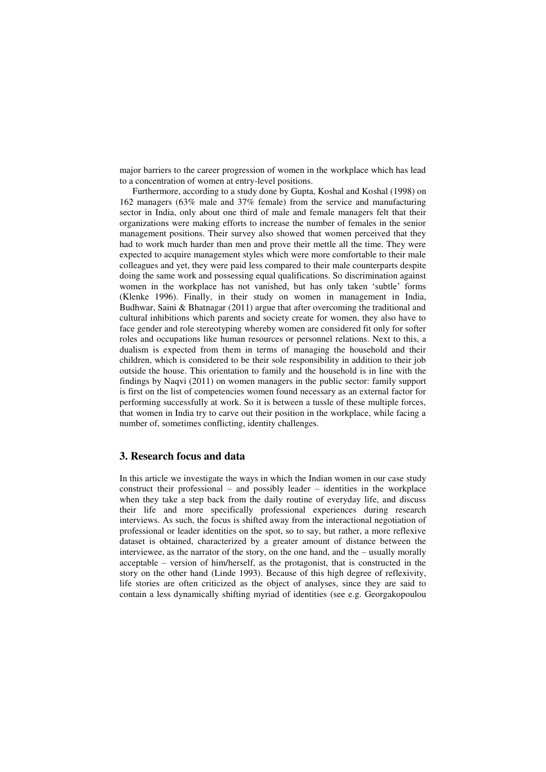major barriers to the career progression of women in the workplace which has lead to a concentration of women at entry-level positions.

Furthermore, according to a study done by Gupta, Koshal and Koshal (1998) on 162 managers (63% male and 37% female) from the service and manufacturing sector in India, only about one third of male and female managers felt that their organizations were making efforts to increase the number of females in the senior management positions. Their survey also showed that women perceived that they had to work much harder than men and prove their mettle all the time. They were expected to acquire management styles which were more comfortable to their male colleagues and yet, they were paid less compared to their male counterparts despite doing the same work and possessing equal qualifications. So discrimination against women in the workplace has not vanished, but has only taken 'subtle' forms (Klenke 1996). Finally, in their study on women in management in India, Budhwar, Saini & Bhatnagar (2011) argue that after overcoming the traditional and cultural inhibitions which parents and society create for women, they also have to face gender and role stereotyping whereby women are considered fit only for softer roles and occupations like human resources or personnel relations. Next to this, a dualism is expected from them in terms of managing the household and their children, which is considered to be their sole responsibility in addition to their job outside the house. This orientation to family and the household is in line with the findings by Naqvi (2011) on women managers in the public sector: family support is first on the list of competencies women found necessary as an external factor for performing successfully at work. So it is between a tussle of these multiple forces, that women in India try to carve out their position in the workplace, while facing a number of, sometimes conflicting, identity challenges.

# **3. Research focus and data**

In this article we investigate the ways in which the Indian women in our case study construct their professional – and possibly leader – identities in the workplace when they take a step back from the daily routine of everyday life, and discuss their life and more specifically professional experiences during research interviews. As such, the focus is shifted away from the interactional negotiation of professional or leader identities on the spot, so to say, but rather, a more reflexive dataset is obtained, characterized by a greater amount of distance between the interviewee, as the narrator of the story, on the one hand, and the – usually morally acceptable – version of him/herself, as the protagonist, that is constructed in the story on the other hand (Linde 1993). Because of this high degree of reflexivity, life stories are often criticized as the object of analyses, since they are said to contain a less dynamically shifting myriad of identities (see e.g. Georgakopoulou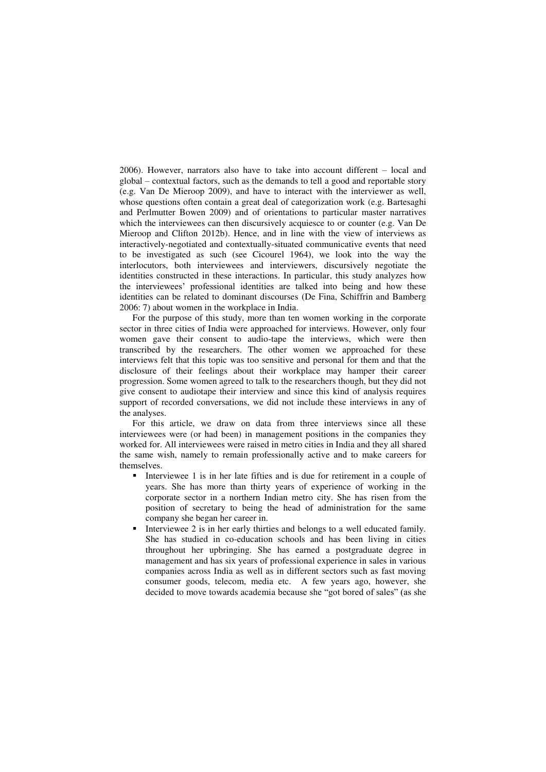2006). However, narrators also have to take into account different – local and global – contextual factors, such as the demands to tell a good and reportable story (e.g. Van De Mieroop 2009), and have to interact with the interviewer as well, whose questions often contain a great deal of categorization work (e.g. Bartesaghi and Perlmutter Bowen 2009) and of orientations to particular master narratives which the interviewees can then discursively acquiesce to or counter (e.g. Van De Mieroop and Clifton 2012b). Hence, and in line with the view of interviews as interactively-negotiated and contextually-situated communicative events that need to be investigated as such (see Cicourel 1964), we look into the way the interlocutors, both interviewees and interviewers, discursively negotiate the identities constructed in these interactions. In particular, this study analyzes how the interviewees' professional identities are talked into being and how these identities can be related to dominant discourses (De Fina, Schiffrin and Bamberg 2006: 7) about women in the workplace in India.

For the purpose of this study, more than ten women working in the corporate sector in three cities of India were approached for interviews. However, only four women gave their consent to audio-tape the interviews, which were then transcribed by the researchers. The other women we approached for these interviews felt that this topic was too sensitive and personal for them and that the disclosure of their feelings about their workplace may hamper their career progression. Some women agreed to talk to the researchers though, but they did not give consent to audiotape their interview and since this kind of analysis requires support of recorded conversations, we did not include these interviews in any of the analyses.

For this article, we draw on data from three interviews since all these interviewees were (or had been) in management positions in the companies they worked for. All interviewees were raised in metro cities in India and they all shared the same wish, namely to remain professionally active and to make careers for themselves.

- Interviewee 1 is in her late fifties and is due for retirement in a couple of years. She has more than thirty years of experience of working in the corporate sector in a northern Indian metro city. She has risen from the position of secretary to being the head of administration for the same company she began her career in.
- Interviewee 2 is in her early thirties and belongs to a well educated family. She has studied in co-education schools and has been living in cities throughout her upbringing. She has earned a postgraduate degree in management and has six years of professional experience in sales in various companies across India as well as in different sectors such as fast moving consumer goods, telecom, media etc. A few years ago, however, she decided to move towards academia because she "got bored of sales" (as she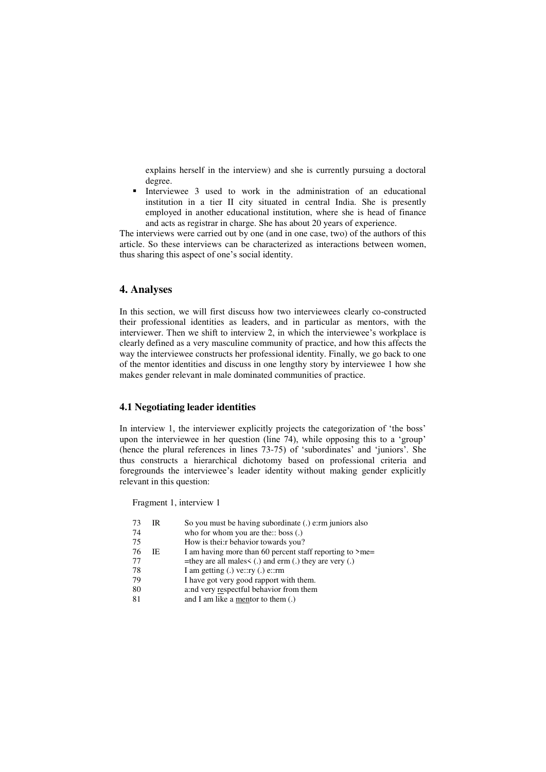explains herself in the interview) and she is currently pursuing a doctoral degree.

 Interviewee 3 used to work in the administration of an educational institution in a tier II city situated in central India. She is presently employed in another educational institution, where she is head of finance and acts as registrar in charge. She has about 20 years of experience.

The interviews were carried out by one (and in one case, two) of the authors of this article. So these interviews can be characterized as interactions between women, thus sharing this aspect of one's social identity.

# **4. Analyses**

In this section, we will first discuss how two interviewees clearly co-constructed their professional identities as leaders, and in particular as mentors, with the interviewer. Then we shift to interview 2, in which the interviewee's workplace is clearly defined as a very masculine community of practice, and how this affects the way the interviewee constructs her professional identity. Finally, we go back to one of the mentor identities and discuss in one lengthy story by interviewee 1 how she makes gender relevant in male dominated communities of practice.

# **4.1 Negotiating leader identities**

In interview 1, the interviewer explicitly projects the categorization of 'the boss' upon the interviewee in her question (line 74), while opposing this to a 'group' (hence the plural references in lines 73-75) of 'subordinates' and 'juniors'. She thus constructs a hierarchical dichotomy based on professional criteria and foregrounds the interviewee's leader identity without making gender explicitly relevant in this question:

Fragment 1, interview 1

| 73 | IR  | So you must be having subordinate (.) e:rm juniors also        |
|----|-----|----------------------------------------------------------------|
| 74 |     | who for whom you are the:: boss (.)                            |
| 75 |     | How is thei:r behavior towards you?                            |
| 76 | IE. | I am having more than 60 percent staff reporting to $\geq$ me= |
| 77 |     | =they are all males $\lt$ (.) and erm (.) they are very (.)    |
| 78 |     | I am getting $(.)$ ve::ry $(.)$ e::rm                          |
| 79 |     | I have got very good rapport with them.                        |
| 80 |     | a:nd very respectful behavior from them                        |
| 81 |     | and I am like a mentor to them (.)                             |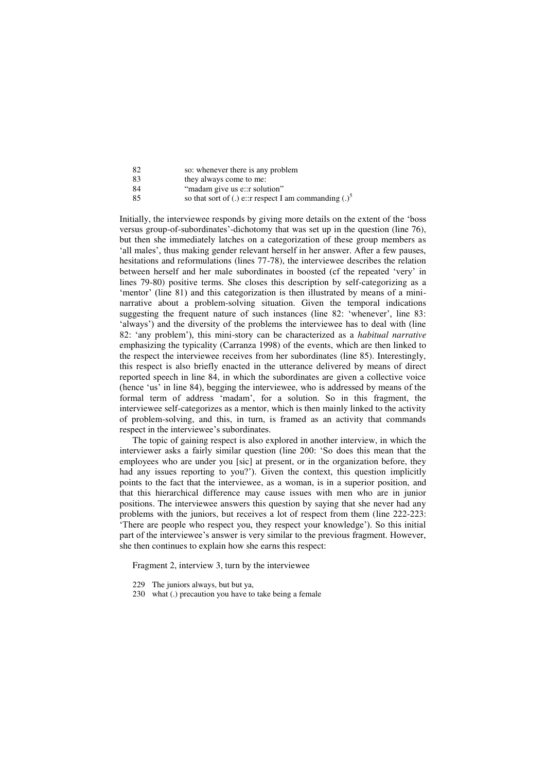| -82    | so: whenever there is any problem |
|--------|-----------------------------------|
| -83    | they always come to me:           |
| $\sim$ |                                   |

84 "madam give us e::r solution"<br>85 so that sort of (.) e::r respect I

so that sort of (.) e::r respect I am commanding  $(.)^5$ 

Initially, the interviewee responds by giving more details on the extent of the 'boss versus group-of-subordinates'-dichotomy that was set up in the question (line 76), but then she immediately latches on a categorization of these group members as 'all males', thus making gender relevant herself in her answer. After a few pauses, hesitations and reformulations (lines 77-78), the interviewee describes the relation between herself and her male subordinates in boosted (cf the repeated 'very' in lines 79-80) positive terms. She closes this description by self-categorizing as a 'mentor' (line 81) and this categorization is then illustrated by means of a mininarrative about a problem-solving situation. Given the temporal indications suggesting the frequent nature of such instances (line 82: 'whenever', line 83: 'always') and the diversity of the problems the interviewee has to deal with (line 82: 'any problem'), this mini-story can be characterized as a *habitual narrative* emphasizing the typicality (Carranza 1998) of the events, which are then linked to the respect the interviewee receives from her subordinates (line 85). Interestingly, this respect is also briefly enacted in the utterance delivered by means of direct reported speech in line 84, in which the subordinates are given a collective voice (hence 'us' in line 84), begging the interviewee, who is addressed by means of the formal term of address 'madam', for a solution. So in this fragment, the interviewee self-categorizes as a mentor, which is then mainly linked to the activity of problem-solving, and this, in turn, is framed as an activity that commands respect in the interviewee's subordinates.

The topic of gaining respect is also explored in another interview, in which the interviewer asks a fairly similar question (line 200: 'So does this mean that the employees who are under you [sic] at present, or in the organization before, they had any issues reporting to you?'). Given the context, this question implicitly points to the fact that the interviewee, as a woman, is in a superior position, and that this hierarchical difference may cause issues with men who are in junior positions. The interviewee answers this question by saying that she never had any problems with the juniors, but receives a lot of respect from them (line 222-223: 'There are people who respect you, they respect your knowledge'). So this initial part of the interviewee's answer is very similar to the previous fragment. However, she then continues to explain how she earns this respect:

Fragment 2, interview 3, turn by the interviewee

- 229 The juniors always, but but ya,
- 230 what (.) precaution you have to take being a female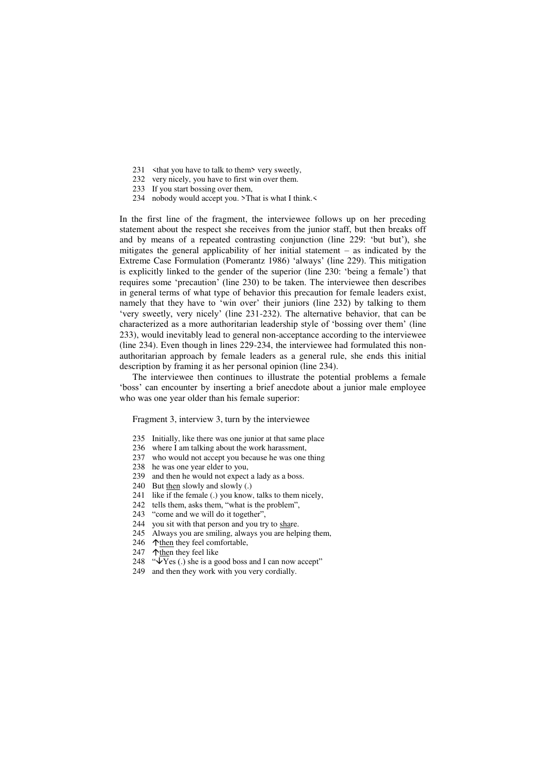- 231 <that you have to talk to them > very sweetly,
- 232 very nicely, you have to first win over them.
- 233 If you start bossing over them,
- 234 nobody would accept you. >That is what I think.<

In the first line of the fragment, the interviewee follows up on her preceding statement about the respect she receives from the junior staff, but then breaks off and by means of a repeated contrasting conjunction (line 229: 'but but'), she mitigates the general applicability of her initial statement – as indicated by the Extreme Case Formulation (Pomerantz 1986) 'always' (line 229). This mitigation is explicitly linked to the gender of the superior (line 230: 'being a female') that requires some 'precaution' (line 230) to be taken. The interviewee then describes in general terms of what type of behavior this precaution for female leaders exist, namely that they have to 'win over' their juniors (line 232) by talking to them 'very sweetly, very nicely' (line 231-232). The alternative behavior, that can be characterized as a more authoritarian leadership style of 'bossing over them' (line 233), would inevitably lead to general non-acceptance according to the interviewee (line 234). Even though in lines 229-234, the interviewee had formulated this nonauthoritarian approach by female leaders as a general rule, she ends this initial description by framing it as her personal opinion (line 234).

The interviewee then continues to illustrate the potential problems a female 'boss' can encounter by inserting a brief anecdote about a junior male employee who was one year older than his female superior:

Fragment 3, interview 3, turn by the interviewee

- 235 Initially, like there was one junior at that same place
- 236 where I am talking about the work harassment,
- 237 who would not accept you because he was one thing
- 238 he was one year elder to you,
- 239 and then he would not expect a lady as a boss.
- 240 But then slowly and slowly (.)
- 241 like if the female (.) you know, talks to them nicely,
- 242 tells them, asks them, "what is the problem",
- 243 "come and we will do it together",
- 244 you sit with that person and you try to share.
- 245 Always you are smiling, always you are helping them,
- 246  $\Delta$  then they feel comfortable,
- 247  $\uparrow$  then they feel like
- 248 " $\sqrt{Y}$ es (.) she is a good boss and I can now accept"
- 249 and then they work with you very cordially.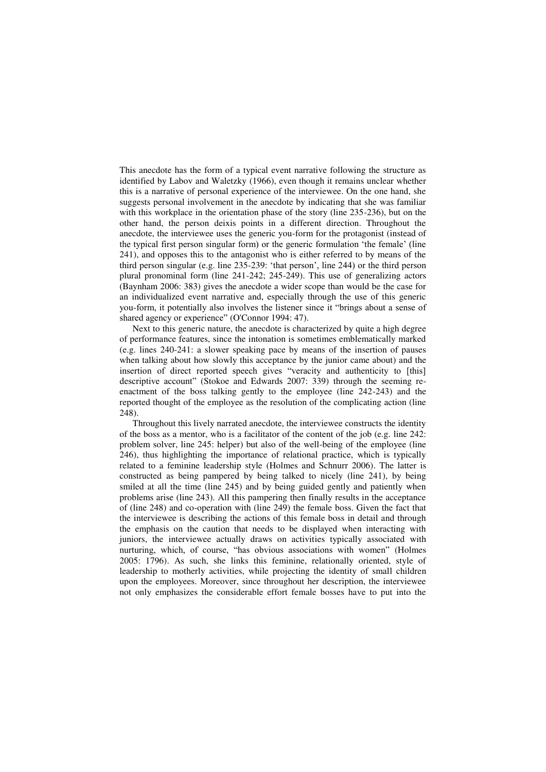This anecdote has the form of a typical event narrative following the structure as identified by Labov and Waletzky (1966), even though it remains unclear whether this is a narrative of personal experience of the interviewee. On the one hand, she suggests personal involvement in the anecdote by indicating that she was familiar with this workplace in the orientation phase of the story (line 235-236), but on the other hand, the person deixis points in a different direction. Throughout the anecdote, the interviewee uses the generic you-form for the protagonist (instead of the typical first person singular form) or the generic formulation 'the female' (line 241), and opposes this to the antagonist who is either referred to by means of the third person singular (e.g. line 235-239: 'that person', line 244) or the third person plural pronominal form (line 241-242; 245-249). This use of generalizing actors (Baynham 2006: 383) gives the anecdote a wider scope than would be the case for an individualized event narrative and, especially through the use of this generic you-form, it potentially also involves the listener since it "brings about a sense of shared agency or experience" (O'Connor 1994: 47).

Next to this generic nature, the anecdote is characterized by quite a high degree of performance features, since the intonation is sometimes emblematically marked (e.g. lines 240-241: a slower speaking pace by means of the insertion of pauses when talking about how slowly this acceptance by the junior came about) and the insertion of direct reported speech gives "veracity and authenticity to [this] descriptive account" (Stokoe and Edwards 2007: 339) through the seeming reenactment of the boss talking gently to the employee (line 242-243) and the reported thought of the employee as the resolution of the complicating action (line 248).

Throughout this lively narrated anecdote, the interviewee constructs the identity of the boss as a mentor, who is a facilitator of the content of the job (e.g. line 242: problem solver, line 245: helper) but also of the well-being of the employee (line 246), thus highlighting the importance of relational practice, which is typically related to a feminine leadership style (Holmes and Schnurr 2006). The latter is constructed as being pampered by being talked to nicely (line 241), by being smiled at all the time (line 245) and by being guided gently and patiently when problems arise (line 243). All this pampering then finally results in the acceptance of (line 248) and co-operation with (line 249) the female boss. Given the fact that the interviewee is describing the actions of this female boss in detail and through the emphasis on the caution that needs to be displayed when interacting with juniors, the interviewee actually draws on activities typically associated with nurturing, which, of course, "has obvious associations with women" (Holmes 2005: 1796). As such, she links this feminine, relationally oriented, style of leadership to motherly activities, while projecting the identity of small children upon the employees. Moreover, since throughout her description, the interviewee not only emphasizes the considerable effort female bosses have to put into the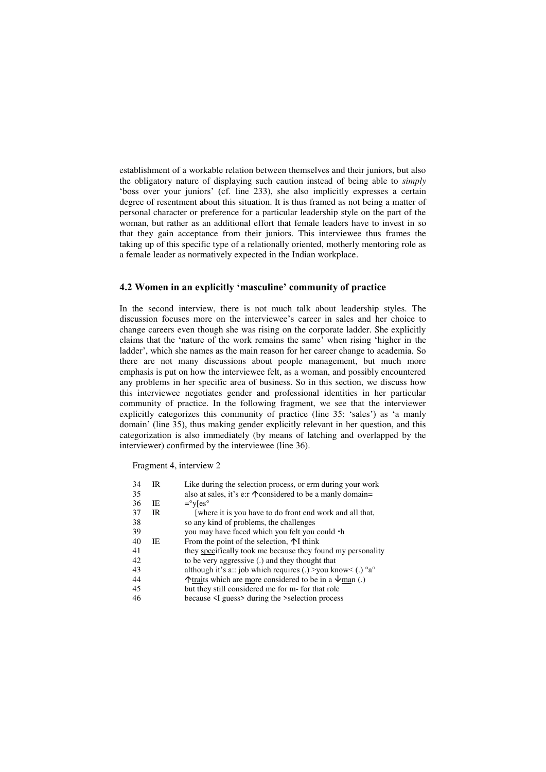establishment of a workable relation between themselves and their juniors, but also the obligatory nature of displaying such caution instead of being able to *simply*  'boss over your juniors' (cf. line 233), she also implicitly expresses a certain degree of resentment about this situation. It is thus framed as not being a matter of personal character or preference for a particular leadership style on the part of the woman, but rather as an additional effort that female leaders have to invest in so that they gain acceptance from their juniors. This interviewee thus frames the taking up of this specific type of a relationally oriented, motherly mentoring role as a female leader as normatively expected in the Indian workplace.

## **4.2 Women in an explicitly 'masculine' community of practice**

In the second interview, there is not much talk about leadership styles. The discussion focuses more on the interviewee's career in sales and her choice to change careers even though she was rising on the corporate ladder. She explicitly claims that the 'nature of the work remains the same' when rising 'higher in the ladder', which she names as the main reason for her career change to academia. So there are not many discussions about people management, but much more emphasis is put on how the interviewee felt, as a woman, and possibly encountered any problems in her specific area of business. So in this section, we discuss how this interviewee negotiates gender and professional identities in her particular community of practice. In the following fragment, we see that the interviewer explicitly categorizes this community of practice (line 35: 'sales') as 'a manly domain' (line 35), thus making gender explicitly relevant in her question, and this categorization is also immediately (by means of latching and overlapped by the interviewer) confirmed by the interviewee (line 36).

Fragment 4, interview 2

| 34 | IR  | Like during the selection process, or erm during your work                  |
|----|-----|-----------------------------------------------------------------------------|
| 35 |     | also at sales, it's e: $\tau$ $\uparrow$ considered to be a manly domain=   |
| 36 | IE. | $=$ <sup>o</sup> $v$ [es <sup>o</sup>                                       |
| 37 | IR  | [where it is you have to do front end work and all that,                    |
| 38 |     | so any kind of problems, the challenges                                     |
| 39 |     | you may have faced which you felt you could $\cdot$ h                       |
| 40 | IE. | From the point of the selection, $\uparrow$ I think                         |
| 41 |     | they specifically took me because they found my personality                 |
| 42 |     | to be very aggressive (.) and they thought that                             |
| 43 |     | although it's a:: job which requires (.) >you know< (.) $\alpha^{\circ}$    |
| 44 |     | $\uparrow$ traits which are more considered to be in a $\downarrow$ man (.) |
| 45 |     | but they still considered me for m- for that role                           |
| 46 |     | because $\leq$ I guess $>$ during the $>$ selection process                 |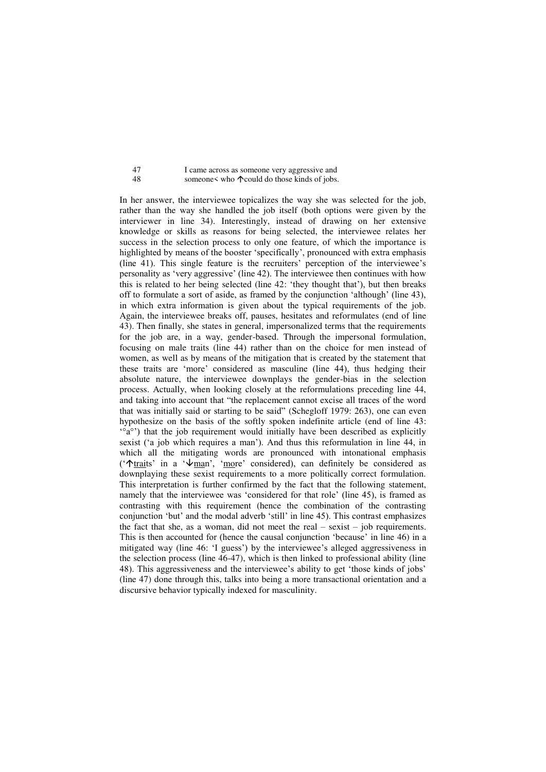| 47  | I came across as someone very aggressive and          |
|-----|-------------------------------------------------------|
| -48 | someone< who $\uparrow$ could do those kinds of jobs. |

In her answer, the interviewee topicalizes the way she was selected for the job, rather than the way she handled the job itself (both options were given by the interviewer in line 34). Interestingly, instead of drawing on her extensive knowledge or skills as reasons for being selected, the interviewee relates her success in the selection process to only one feature, of which the importance is highlighted by means of the booster 'specifically', pronounced with extra emphasis (line 41). This single feature is the recruiters' perception of the interviewee's personality as 'very aggressive' (line 42). The interviewee then continues with how this is related to her being selected (line 42: 'they thought that'), but then breaks off to formulate a sort of aside, as framed by the conjunction 'although' (line 43), in which extra information is given about the typical requirements of the job. Again, the interviewee breaks off, pauses, hesitates and reformulates (end of line 43). Then finally, she states in general, impersonalized terms that the requirements for the job are, in a way, gender-based. Through the impersonal formulation, focusing on male traits (line 44) rather than on the choice for men instead of women, as well as by means of the mitigation that is created by the statement that these traits are 'more' considered as masculine (line 44), thus hedging their absolute nature, the interviewee downplays the gender-bias in the selection process. Actually, when looking closely at the reformulations preceding line 44, and taking into account that "the replacement cannot excise all traces of the word that was initially said or starting to be said" (Schegloff 1979: 263), one can even hypothesize on the basis of the softly spoken indefinite article (end of line 43: '°a°') that the job requirement would initially have been described as explicitly sexist ('a job which requires a man'). And thus this reformulation in line 44, in which all the mitigating words are pronounced with intonational emphasis (' $\text{A}_{\text{train}}$ 's' in a ' $\text{A}_{\text{train}}$ ', 'more' considered), can definitely be considered as downplaying these sexist requirements to a more politically correct formulation. This interpretation is further confirmed by the fact that the following statement, namely that the interviewee was 'considered for that role' (line 45), is framed as contrasting with this requirement (hence the combination of the contrasting conjunction 'but' and the modal adverb 'still' in line 45). This contrast emphasizes the fact that she, as a woman, did not meet the real  $-$  sexist  $-$  job requirements. This is then accounted for (hence the causal conjunction 'because' in line 46) in a mitigated way (line 46: 'I guess') by the interviewee's alleged aggressiveness in the selection process (line 46-47), which is then linked to professional ability (line 48). This aggressiveness and the interviewee's ability to get 'those kinds of jobs' (line 47) done through this, talks into being a more transactional orientation and a discursive behavior typically indexed for masculinity.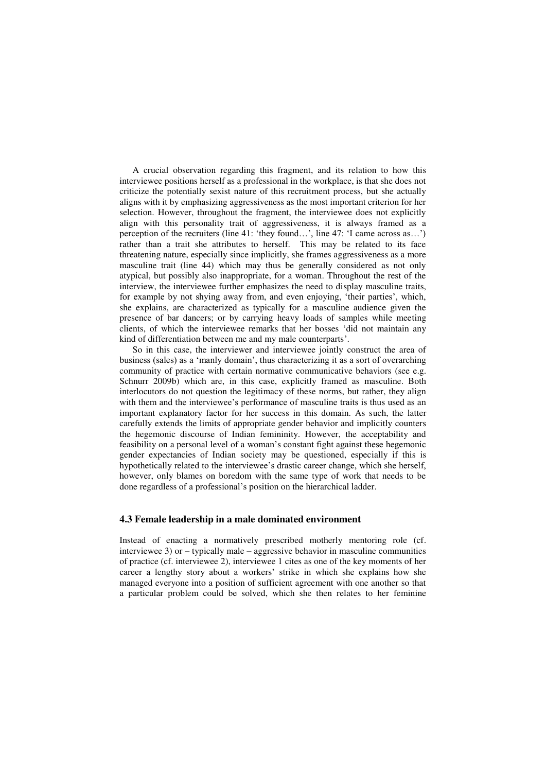A crucial observation regarding this fragment, and its relation to how this interviewee positions herself as a professional in the workplace, is that she does not criticize the potentially sexist nature of this recruitment process, but she actually aligns with it by emphasizing aggressiveness as the most important criterion for her selection. However, throughout the fragment, the interviewee does not explicitly align with this personality trait of aggressiveness, it is always framed as a perception of the recruiters (line 41: 'they found…', line 47: 'I came across as…') rather than a trait she attributes to herself. This may be related to its face threatening nature, especially since implicitly, she frames aggressiveness as a more masculine trait (line 44) which may thus be generally considered as not only atypical, but possibly also inappropriate, for a woman. Throughout the rest of the interview, the interviewee further emphasizes the need to display masculine traits, for example by not shying away from, and even enjoying, 'their parties', which, she explains, are characterized as typically for a masculine audience given the presence of bar dancers; or by carrying heavy loads of samples while meeting clients, of which the interviewee remarks that her bosses 'did not maintain any kind of differentiation between me and my male counterparts'.

So in this case, the interviewer and interviewee jointly construct the area of business (sales) as a 'manly domain', thus characterizing it as a sort of overarching community of practice with certain normative communicative behaviors (see e.g. Schnurr 2009b) which are, in this case, explicitly framed as masculine. Both interlocutors do not question the legitimacy of these norms, but rather, they align with them and the interviewee's performance of masculine traits is thus used as an important explanatory factor for her success in this domain. As such, the latter carefully extends the limits of appropriate gender behavior and implicitly counters the hegemonic discourse of Indian femininity. However, the acceptability and feasibility on a personal level of a woman's constant fight against these hegemonic gender expectancies of Indian society may be questioned, especially if this is hypothetically related to the interviewee's drastic career change, which she herself, however, only blames on boredom with the same type of work that needs to be done regardless of a professional's position on the hierarchical ladder.

### **4.3 Female leadership in a male dominated environment**

Instead of enacting a normatively prescribed motherly mentoring role (cf. interviewee 3) or – typically male – aggressive behavior in masculine communities of practice (cf. interviewee 2), interviewee 1 cites as one of the key moments of her career a lengthy story about a workers' strike in which she explains how she managed everyone into a position of sufficient agreement with one another so that a particular problem could be solved, which she then relates to her feminine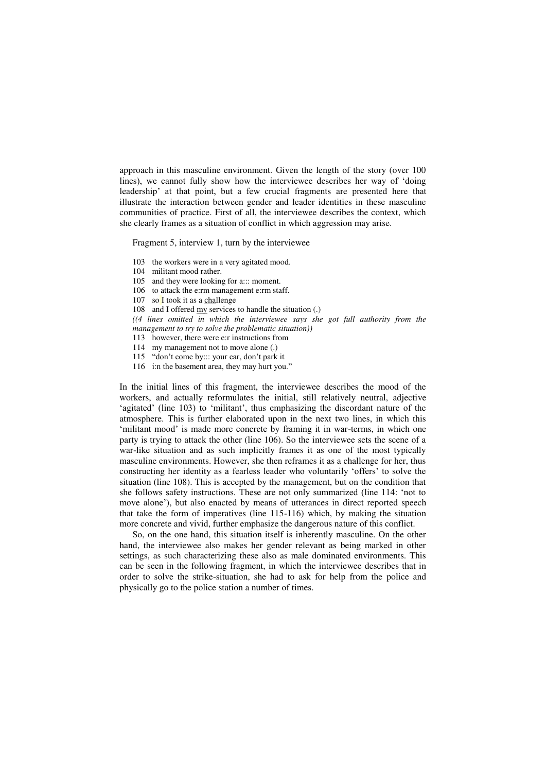approach in this masculine environment. Given the length of the story (over 100 lines), we cannot fully show how the interviewee describes her way of 'doing leadership' at that point, but a few crucial fragments are presented here that illustrate the interaction between gender and leader identities in these masculine communities of practice. First of all, the interviewee describes the context, which she clearly frames as a situation of conflict in which aggression may arise.

Fragment 5, interview 1, turn by the interviewee

- 103 the workers were in a very agitated mood.
- 104 militant mood rather.
- 105 and they were looking for a::: moment.
- 106 to attack the e:rm management e:rm staff.
- 107 so I took it as a challenge
- 108 and I offered my services to handle the situation (.)

*((4 lines omitted in which the interviewee says she got full authority from the management to try to solve the problematic situation))* 

- 113 however, there were e:r instructions from
- 114 my management not to move alone (.)
- 115 "don't come by::: your car, don't park it
- 116 i:n the basement area, they may hurt you."

In the initial lines of this fragment, the interviewee describes the mood of the workers, and actually reformulates the initial, still relatively neutral, adjective 'agitated' (line 103) to 'militant', thus emphasizing the discordant nature of the atmosphere. This is further elaborated upon in the next two lines, in which this 'militant mood' is made more concrete by framing it in war-terms, in which one party is trying to attack the other (line 106). So the interviewee sets the scene of a war-like situation and as such implicitly frames it as one of the most typically masculine environments. However, she then reframes it as a challenge for her, thus constructing her identity as a fearless leader who voluntarily 'offers' to solve the situation (line 108). This is accepted by the management, but on the condition that she follows safety instructions. These are not only summarized (line 114: 'not to move alone'), but also enacted by means of utterances in direct reported speech that take the form of imperatives (line 115-116) which, by making the situation more concrete and vivid, further emphasize the dangerous nature of this conflict.

So, on the one hand, this situation itself is inherently masculine. On the other hand, the interviewee also makes her gender relevant as being marked in other settings, as such characterizing these also as male dominated environments. This can be seen in the following fragment, in which the interviewee describes that in order to solve the strike-situation, she had to ask for help from the police and physically go to the police station a number of times.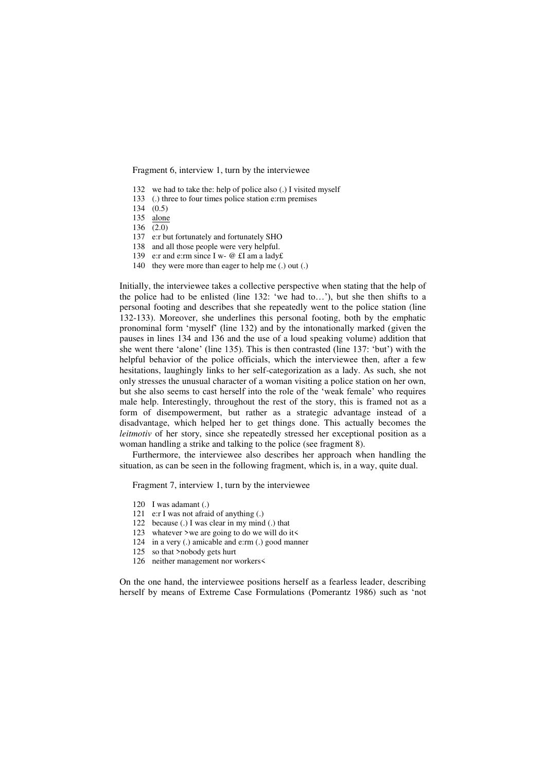Fragment 6, interview 1, turn by the interviewee

- 132 we had to take the: help of police also (.) I visited myself
- 133 (.) three to four times police station e:rm premises
- 134 (0.5)
- 135 alone
- 136 (2.0)
- 137 e:r but fortunately and fortunately SHO
- 138 and all those people were very helpful.
- 139 e: r and e: rm since I w- @ £I am a lady£
- 140 they were more than eager to help me (.) out (.)

Initially, the interviewee takes a collective perspective when stating that the help of the police had to be enlisted (line 132: 'we had to…'), but she then shifts to a personal footing and describes that she repeatedly went to the police station (line 132-133). Moreover, she underlines this personal footing, both by the emphatic pronominal form 'myself' (line 132) and by the intonationally marked (given the pauses in lines 134 and 136 and the use of a loud speaking volume) addition that she went there 'alone' (line 135). This is then contrasted (line 137: 'but') with the helpful behavior of the police officials, which the interviewee then, after a few hesitations, laughingly links to her self-categorization as a lady. As such, she not only stresses the unusual character of a woman visiting a police station on her own, but she also seems to cast herself into the role of the 'weak female' who requires male help. Interestingly, throughout the rest of the story, this is framed not as a form of disempowerment, but rather as a strategic advantage instead of a disadvantage, which helped her to get things done. This actually becomes the *leitmotiv* of her story, since she repeatedly stressed her exceptional position as a woman handling a strike and talking to the police (see fragment 8).

Furthermore, the interviewee also describes her approach when handling the situation, as can be seen in the following fragment, which is, in a way, quite dual.

Fragment 7, interview 1, turn by the interviewee

- 120 I was adamant (.)
- 121 e:r I was not afraid of anything (.)
- 122 because (.) I was clear in my mind (.) that
- 123 whatever >we are going to do we will do it<
- 124 in a very (.) amicable and e:rm (.) good manner
- 125 so that >nobody gets hurt
- 126 neither management nor workers<

On the one hand, the interviewee positions herself as a fearless leader, describing herself by means of Extreme Case Formulations (Pomerantz 1986) such as 'not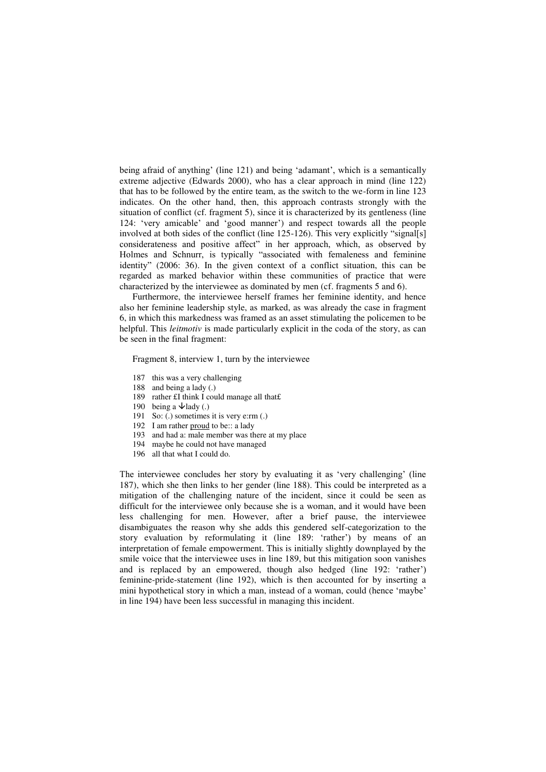being afraid of anything' (line 121) and being 'adamant', which is a semantically extreme adjective (Edwards 2000), who has a clear approach in mind (line 122) that has to be followed by the entire team, as the switch to the we-form in line 123 indicates. On the other hand, then, this approach contrasts strongly with the situation of conflict (cf. fragment 5), since it is characterized by its gentleness (line 124: 'very amicable' and 'good manner') and respect towards all the people involved at both sides of the conflict (line 125-126). This very explicitly "signal[s] considerateness and positive affect" in her approach, which, as observed by Holmes and Schnurr, is typically "associated with femaleness and feminine identity" (2006: 36). In the given context of a conflict situation, this can be regarded as marked behavior within these communities of practice that were characterized by the interviewee as dominated by men (cf. fragments 5 and 6).

Furthermore, the interviewee herself frames her feminine identity, and hence also her feminine leadership style, as marked, as was already the case in fragment 6, in which this markedness was framed as an asset stimulating the policemen to be helpful. This *leitmotiv* is made particularly explicit in the coda of the story, as can be seen in the final fragment:

Fragment 8, interview 1, turn by the interviewee

- 187 this was a very challenging
- 188 and being a lady (.)
- 189 rather £I think I could manage all that£
- 190 being a  $\blacklozenge$ lady (.)
- 191 So: (.) sometimes it is very e:rm (.)
- 192 I am rather proud to be:: a lady
- 193 and had a: male member was there at my place
- 194 maybe he could not have managed
- 196 all that what I could do.

The interviewee concludes her story by evaluating it as 'very challenging' (line 187), which she then links to her gender (line 188). This could be interpreted as a mitigation of the challenging nature of the incident, since it could be seen as difficult for the interviewee only because she is a woman, and it would have been less challenging for men. However, after a brief pause, the interviewee disambiguates the reason why she adds this gendered self-categorization to the story evaluation by reformulating it (line 189: 'rather') by means of an interpretation of female empowerment. This is initially slightly downplayed by the smile voice that the interviewee uses in line 189, but this mitigation soon vanishes and is replaced by an empowered, though also hedged (line 192: 'rather') feminine-pride-statement (line 192), which is then accounted for by inserting a mini hypothetical story in which a man, instead of a woman, could (hence 'maybe' in line 194) have been less successful in managing this incident.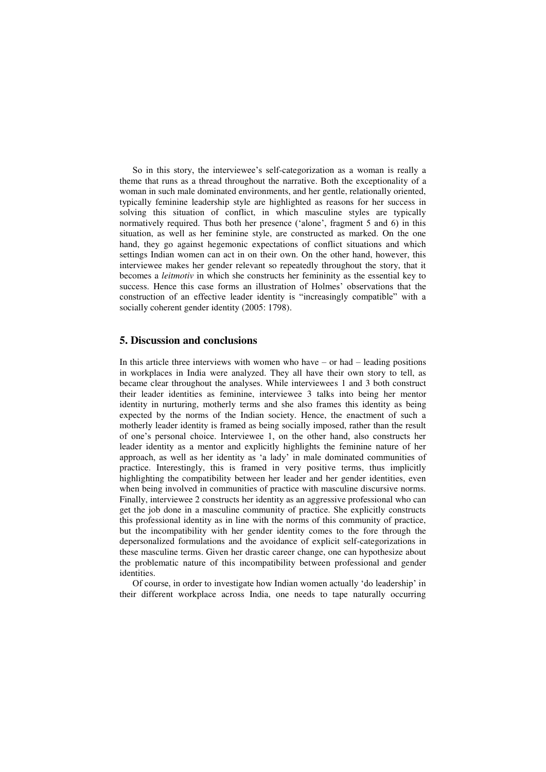So in this story, the interviewee's self-categorization as a woman is really a theme that runs as a thread throughout the narrative. Both the exceptionality of a woman in such male dominated environments, and her gentle, relationally oriented, typically feminine leadership style are highlighted as reasons for her success in solving this situation of conflict, in which masculine styles are typically normatively required. Thus both her presence ('alone', fragment 5 and 6) in this situation, as well as her feminine style, are constructed as marked. On the one hand, they go against hegemonic expectations of conflict situations and which settings Indian women can act in on their own. On the other hand, however, this interviewee makes her gender relevant so repeatedly throughout the story, that it becomes a *leitmotiv* in which she constructs her femininity as the essential key to success. Hence this case forms an illustration of Holmes' observations that the construction of an effective leader identity is "increasingly compatible" with a socially coherent gender identity (2005: 1798).

## **5. Discussion and conclusions**

In this article three interviews with women who have  $-$  or had  $-$  leading positions in workplaces in India were analyzed. They all have their own story to tell, as became clear throughout the analyses. While interviewees 1 and 3 both construct their leader identities as feminine, interviewee 3 talks into being her mentor identity in nurturing, motherly terms and she also frames this identity as being expected by the norms of the Indian society. Hence, the enactment of such a motherly leader identity is framed as being socially imposed, rather than the result of one's personal choice. Interviewee 1, on the other hand, also constructs her leader identity as a mentor and explicitly highlights the feminine nature of her approach, as well as her identity as 'a lady' in male dominated communities of practice. Interestingly, this is framed in very positive terms, thus implicitly highlighting the compatibility between her leader and her gender identities, even when being involved in communities of practice with masculine discursive norms. Finally, interviewee 2 constructs her identity as an aggressive professional who can get the job done in a masculine community of practice. She explicitly constructs this professional identity as in line with the norms of this community of practice, but the incompatibility with her gender identity comes to the fore through the depersonalized formulations and the avoidance of explicit self-categorizations in these masculine terms. Given her drastic career change, one can hypothesize about the problematic nature of this incompatibility between professional and gender identities.

Of course, in order to investigate how Indian women actually 'do leadership' in their different workplace across India, one needs to tape naturally occurring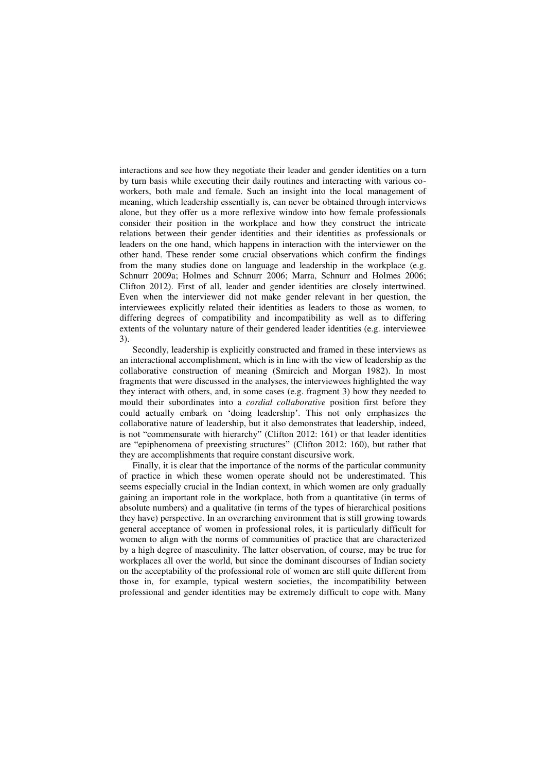interactions and see how they negotiate their leader and gender identities on a turn by turn basis while executing their daily routines and interacting with various coworkers, both male and female. Such an insight into the local management of meaning, which leadership essentially is, can never be obtained through interviews alone, but they offer us a more reflexive window into how female professionals consider their position in the workplace and how they construct the intricate relations between their gender identities and their identities as professionals or leaders on the one hand, which happens in interaction with the interviewer on the other hand. These render some crucial observations which confirm the findings from the many studies done on language and leadership in the workplace (e.g. Schnurr 2009a; Holmes and Schnurr 2006; Marra, Schnurr and Holmes 2006; Clifton 2012). First of all, leader and gender identities are closely intertwined. Even when the interviewer did not make gender relevant in her question, the interviewees explicitly related their identities as leaders to those as women, to differing degrees of compatibility and incompatibility as well as to differing extents of the voluntary nature of their gendered leader identities (e.g. interviewee 3).

Secondly, leadership is explicitly constructed and framed in these interviews as an interactional accomplishment, which is in line with the view of leadership as the collaborative construction of meaning (Smircich and Morgan 1982). In most fragments that were discussed in the analyses, the interviewees highlighted the way they interact with others, and, in some cases (e.g. fragment 3) how they needed to mould their subordinates into a *cordial collaborative* position first before they could actually embark on 'doing leadership'. This not only emphasizes the collaborative nature of leadership, but it also demonstrates that leadership, indeed, is not "commensurate with hierarchy" (Clifton 2012: 161) or that leader identities are "epiphenomena of preexisting structures" (Clifton 2012: 160), but rather that they are accomplishments that require constant discursive work.

Finally, it is clear that the importance of the norms of the particular community of practice in which these women operate should not be underestimated. This seems especially crucial in the Indian context, in which women are only gradually gaining an important role in the workplace, both from a quantitative (in terms of absolute numbers) and a qualitative (in terms of the types of hierarchical positions they have) perspective. In an overarching environment that is still growing towards general acceptance of women in professional roles, it is particularly difficult for women to align with the norms of communities of practice that are characterized by a high degree of masculinity. The latter observation, of course, may be true for workplaces all over the world, but since the dominant discourses of Indian society on the acceptability of the professional role of women are still quite different from those in, for example, typical western societies, the incompatibility between professional and gender identities may be extremely difficult to cope with. Many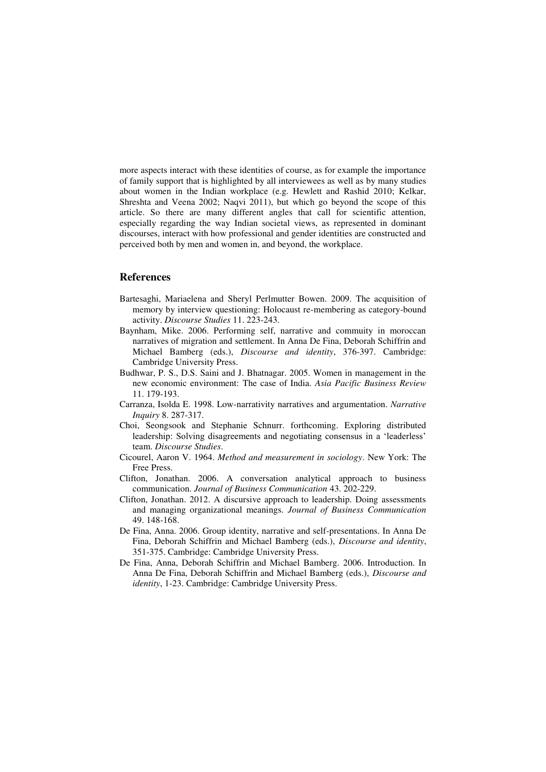more aspects interact with these identities of course, as for example the importance of family support that is highlighted by all interviewees as well as by many studies about women in the Indian workplace (e.g. Hewlett and Rashid 2010; Kelkar, Shreshta and Veena 2002; Naqvi 2011), but which go beyond the scope of this article. So there are many different angles that call for scientific attention, especially regarding the way Indian societal views, as represented in dominant discourses, interact with how professional and gender identities are constructed and perceived both by men and women in, and beyond, the workplace.

### **References**

- Bartesaghi, Mariaelena and Sheryl Perlmutter Bowen. 2009. The acquisition of memory by interview questioning: Holocaust re-membering as category-bound activity. *Discourse Studies* 11. 223-243.
- Baynham, Mike. 2006. Performing self, narrative and commuity in moroccan narratives of migration and settlement. In Anna De Fina, Deborah Schiffrin and Michael Bamberg (eds.), *Discourse and identity*, 376-397. Cambridge: Cambridge University Press.
- Budhwar, P. S., D.S. Saini and J. Bhatnagar. 2005. Women in management in the new economic environment: The case of India. *Asia Pacific Business Review* 11. 179-193.
- Carranza, Isolda E. 1998. Low-narrativity narratives and argumentation. *Narrative Inquiry* 8. 287-317.
- Choi, Seongsook and Stephanie Schnurr. forthcoming. Exploring distributed leadership: Solving disagreements and negotiating consensus in a 'leaderless' team. *Discourse Studies*.
- Cicourel, Aaron V. 1964. *Method and measurement in sociology*. New York: The Free Press.
- Clifton, Jonathan. 2006. A conversation analytical approach to business communication. *Journal of Business Communication* 43. 202-229.
- Clifton, Jonathan. 2012. A discursive approach to leadership. Doing assessments and managing organizational meanings. *Journal of Business Communication* 49. 148-168.
- De Fina, Anna. 2006. Group identity, narrative and self-presentations. In Anna De Fina, Deborah Schiffrin and Michael Bamberg (eds.), *Discourse and identity*, 351-375. Cambridge: Cambridge University Press.
- De Fina, Anna, Deborah Schiffrin and Michael Bamberg. 2006. Introduction. In Anna De Fina, Deborah Schiffrin and Michael Bamberg (eds.), *Discourse and identity*, 1-23. Cambridge: Cambridge University Press.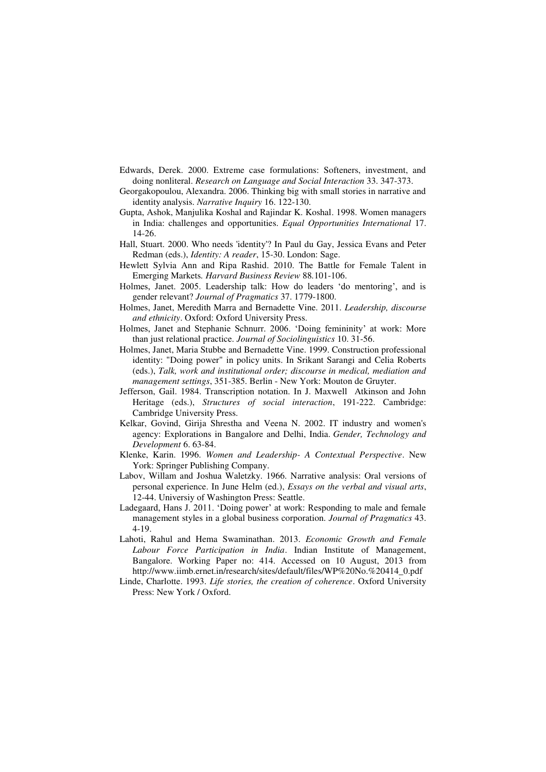- Edwards, Derek. 2000. Extreme case formulations: Softeners, investment, and doing nonliteral. *Research on Language and Social Interaction* 33. 347-373.
- Georgakopoulou, Alexandra. 2006. Thinking big with small stories in narrative and identity analysis. *Narrative Inquiry* 16. 122-130.
- Gupta, Ashok, Manjulika Koshal and Rajindar K. Koshal. 1998. Women managers in India: challenges and opportunities. *Equal Opportunities International* 17. 14-26.
- Hall, Stuart. 2000. Who needs 'identity'? In Paul du Gay, Jessica Evans and Peter Redman (eds.), *Identity: A reader*, 15-30. London: Sage.
- Hewlett Sylvia Ann and Ripa Rashid. 2010. The Battle for Female Talent in Emerging Markets*. Harvard Business Review* 88*.*101-106.
- Holmes, Janet. 2005. Leadership talk: How do leaders 'do mentoring', and is gender relevant? *Journal of Pragmatics* 37. 1779-1800.
- Holmes, Janet, Meredith Marra and Bernadette Vine. 2011. *Leadership, discourse and ethnicity*. Oxford: Oxford University Press.
- Holmes, Janet and Stephanie Schnurr. 2006. 'Doing femininity' at work: More than just relational practice. *Journal of Sociolinguistics* 10. 31-56.
- Holmes, Janet, Maria Stubbe and Bernadette Vine. 1999. Construction professional identity: "Doing power" in policy units. In Srikant Sarangi and Celia Roberts (eds.), *Talk, work and institutional order; discourse in medical, mediation and management settings*, 351-385. Berlin - New York: Mouton de Gruyter.
- Jefferson, Gail. 1984. Transcription notation. In J. Maxwell Atkinson and John Heritage (eds.), *Structures of social interaction*, 191-222. Cambridge: Cambridge University Press.
- Kelkar, Govind, Girija Shrestha and Veena N. 2002. IT industry and women's agency: Explorations in Bangalore and Delhi, India. *Gender, Technology and Development* 6. 63-84.
- Klenke, Karin. 1996. *Women and Leadership- A Contextual Perspective*. New York: Springer Publishing Company.
- Labov, Willam and Joshua Waletzky. 1966. Narrative analysis: Oral versions of personal experience. In June Helm (ed.), *Essays on the verbal and visual arts*, 12-44. Universiy of Washington Press: Seattle.
- Ladegaard, Hans J. 2011. 'Doing power' at work: Responding to male and female management styles in a global business corporation. *Journal of Pragmatics* 43. 4-19.
- Lahoti, Rahul and Hema Swaminathan. 2013. *Economic Growth and Female Labour Force Participation in India*. Indian Institute of Management, Bangalore. Working Paper no: 414. Accessed on 10 August, 2013 from http://www.iimb.ernet.in/research/sites/default/files/WP%20No.%20414\_0.pdf
- Linde, Charlotte. 1993. *Life stories, the creation of coherence*. Oxford University Press: New York / Oxford.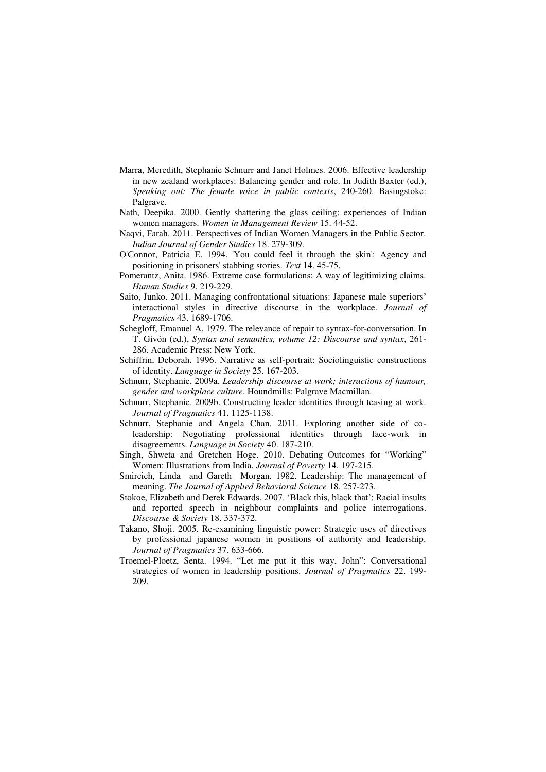- Marra, Meredith, Stephanie Schnurr and Janet Holmes. 2006. Effective leadership in new zealand workplaces: Balancing gender and role. In Judith Baxter (ed.), *Speaking out: The female voice in public contexts*, 240-260. Basingstoke: Palgrave.
- Nath, Deepika. 2000. Gently shattering the glass ceiling: experiences of Indian women managers. *Women in Management Review* 15. 44-52.
- Naqvi, Farah. 2011. Perspectives of Indian Women Managers in the Public Sector. *Indian Journal of Gender Studies* 18. 279-309.
- O'Connor, Patricia E. 1994. 'You could feel it through the skin': Agency and positioning in prisoners' stabbing stories. *Text* 14. 45-75.
- Pomerantz, Anita. 1986. Extreme case formulations: A way of legitimizing claims. *Human Studies* 9. 219-229.
- Saito, Junko. 2011. Managing confrontational situations: Japanese male superiors' interactional styles in directive discourse in the workplace. *Journal of Pragmatics* 43. 1689-1706.
- Schegloff, Emanuel A. 1979. The relevance of repair to syntax-for-conversation. In T. Givón (ed.), *Syntax and semantics, volume 12: Discourse and syntax*, 261- 286. Academic Press: New York.
- Schiffrin, Deborah. 1996. Narrative as self-portrait: Sociolinguistic constructions of identity. *Language in Society* 25. 167-203.
- Schnurr, Stephanie. 2009a. *Leadership discourse at work; interactions of humour, gender and workplace culture*. Houndmills: Palgrave Macmillan.
- Schnurr, Stephanie. 2009b. Constructing leader identities through teasing at work. *Journal of Pragmatics* 41. 1125-1138.
- Schnurr, Stephanie and Angela Chan. 2011. Exploring another side of coleadership: Negotiating professional identities through face-work in disagreements. *Language in Society* 40. 187-210.
- Singh, Shweta and Gretchen Hoge. 2010. Debating Outcomes for "Working" Women: Illustrations from India. *Journal of Poverty* 14. 197-215.
- Smircich, Linda and Gareth Morgan. 1982. Leadership: The management of meaning. *The Journal of Applied Behavioral Science* 18. 257-273.
- Stokoe, Elizabeth and Derek Edwards. 2007. 'Black this, black that': Racial insults and reported speech in neighbour complaints and police interrogations. *Discourse & Society* 18. 337-372.
- Takano, Shoji. 2005. Re-examining linguistic power: Strategic uses of directives by professional japanese women in positions of authority and leadership. *Journal of Pragmatics* 37. 633-666.
- Troemel-Ploetz, Senta. 1994. "Let me put it this way, John": Conversational strategies of women in leadership positions. *Journal of Pragmatics* 22. 199- 209.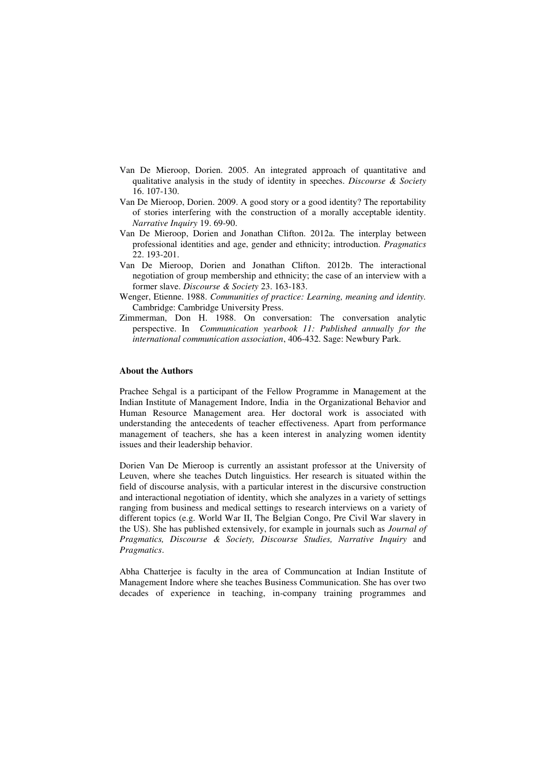- Van De Mieroop, Dorien. 2005. An integrated approach of quantitative and qualitative analysis in the study of identity in speeches. *Discourse & Society* 16. 107-130.
- Van De Mieroop, Dorien. 2009. A good story or a good identity? The reportability of stories interfering with the construction of a morally acceptable identity. *Narrative Inquiry* 19. 69-90.
- Van De Mieroop, Dorien and Jonathan Clifton. 2012a. The interplay between professional identities and age, gender and ethnicity; introduction. *Pragmatics* 22. 193-201.
- Van De Mieroop, Dorien and Jonathan Clifton. 2012b. The interactional negotiation of group membership and ethnicity; the case of an interview with a former slave. *Discourse & Society* 23. 163-183.
- Wenger, Etienne. 1988. *Communities of practice: Learning, meaning and identity.* Cambridge: Cambridge University Press.
- Zimmerman, Don H. 1988. On conversation: The conversation analytic perspective. In *Communication yearbook 11: Published annually for the international communication association*, 406-432. Sage: Newbury Park.

#### **About the Authors**

Prachee Sehgal is a participant of the Fellow Programme in Management at the Indian Institute of Management Indore, India in the Organizational Behavior and Human Resource Management area. Her doctoral work is associated with understanding the antecedents of teacher effectiveness. Apart from performance management of teachers, she has a keen interest in analyzing women identity issues and their leadership behavior.

Dorien Van De Mieroop is currently an assistant professor at the University of Leuven, where she teaches Dutch linguistics. Her research is situated within the field of discourse analysis, with a particular interest in the discursive construction and interactional negotiation of identity, which she analyzes in a variety of settings ranging from business and medical settings to research interviews on a variety of different topics (e.g. World War II, The Belgian Congo, Pre Civil War slavery in the US). She has published extensively, for example in journals such as *Journal of Pragmatics, Discourse & Society, Discourse Studies, Narrative Inquiry* and *Pragmatics*.

Abha Chatterjee is faculty in the area of Communcation at Indian Institute of Management Indore where she teaches Business Communication. She has over two decades of experience in teaching, in-company training programmes and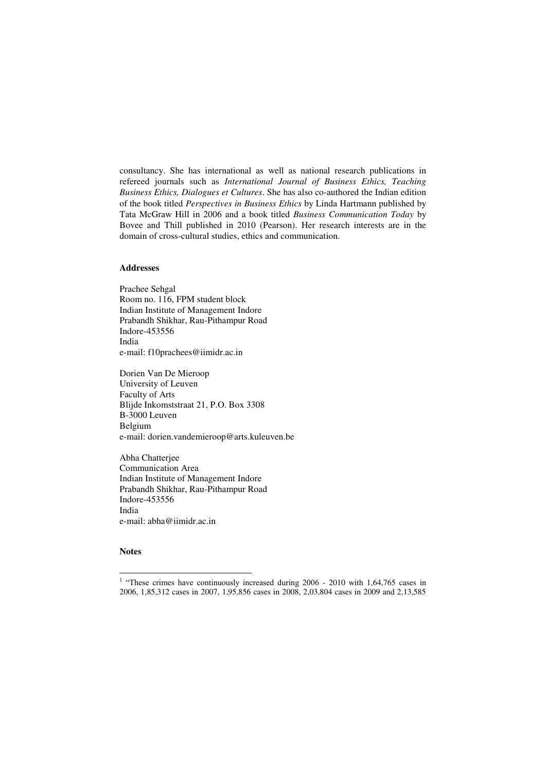consultancy. She has international as well as national research publications in refereed journals such as *International Journal of Business Ethics, Teaching Business Ethics, Dialogues et Cultures*. She has also co-authored the Indian edition of the book titled *Perspectives in Business Ethics* by Linda Hartmann published by Tata McGraw Hill in 2006 and a book titled *Business Communication Today* by Bovee and Thill published in 2010 (Pearson). Her research interests are in the domain of cross-cultural studies, ethics and communication.

#### **Addresses**

Prachee Sehgal Room no. 116, FPM student block Indian Institute of Management Indore Prabandh Shikhar, Rau-Pithampur Road Indore-453556 India e-mail: f10prachees@iimidr.ac.in

Dorien Van De Mieroop University of Leuven Faculty of Arts Blijde Inkomststraat 21, P.O. Box 3308 B-3000 Leuven Belgium e-mail: dorien.vandemieroop@arts.kuleuven.be

Abha Chatterjee Communication Area Indian Institute of Management Indore Prabandh Shikhar, Rau-Pithampur Road Indore-453556 India e-mail: abha@iimidr.ac.in

### **Notes**

 $\overline{a}$ 

<sup>&</sup>lt;sup>1</sup> "These crimes have continuously increased during 2006 - 2010 with 1,64,765 cases in 2006, 1,85,312 cases in 2007, 1,95,856 cases in 2008, 2,03,804 cases in 2009 and 2,13,585